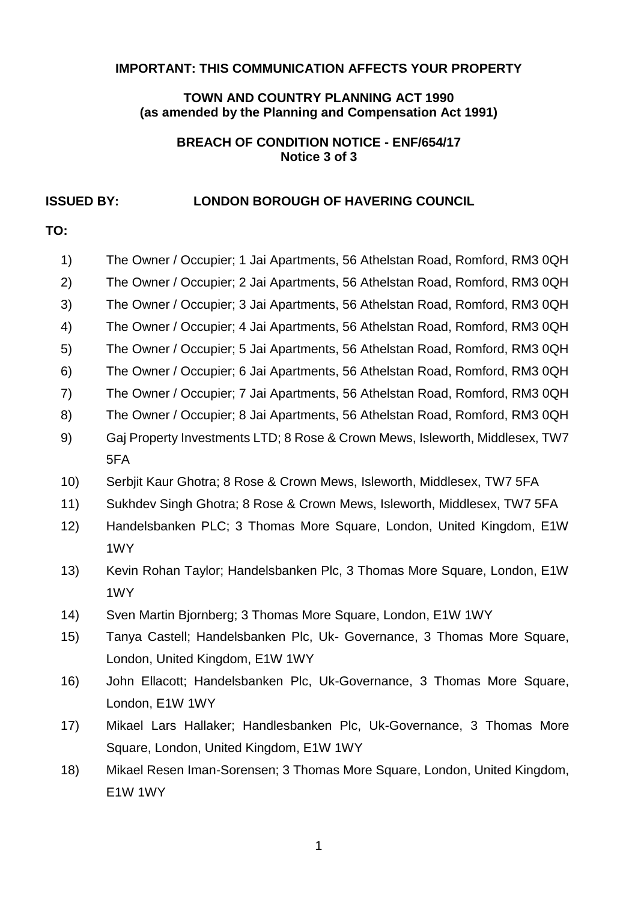#### **IMPORTANT: THIS COMMUNICATION AFFECTS YOUR PROPERTY**

### **TOWN AND COUNTRY PLANNING ACT 1990 (as amended by the Planning and Compensation Act 1991)**

### **BREACH OF CONDITION NOTICE - ENF/654/17 Notice 3 of 3**

### **ISSUED BY: LONDON BOROUGH OF HAVERING COUNCIL**

# **TO:**

| 1)   | The Owner / Occupier; 1 Jai Apartments, 56 Athelstan Road, Romford, RM3 0QH  |  |
|------|------------------------------------------------------------------------------|--|
| 2)   | The Owner / Occupier; 2 Jai Apartments, 56 Athelstan Road, Romford, RM3 0QH  |  |
| 3)   | The Owner / Occupier; 3 Jai Apartments, 56 Athelstan Road, Romford, RM3 0QH  |  |
| 4)   | The Owner / Occupier; 4 Jai Apartments, 56 Athelstan Road, Romford, RM3 0QH  |  |
| 5)   | The Owner / Occupier; 5 Jai Apartments, 56 Athelstan Road, Romford, RM3 0QH  |  |
| 6)   | The Owner / Occupier; 6 Jai Apartments, 56 Athelstan Road, Romford, RM3 0QH  |  |
| 7)   | The Owner / Occupier; 7 Jai Apartments, 56 Athelstan Road, Romford, RM3 0QH  |  |
| 8)   | The Owner / Occupier; 8 Jai Apartments, 56 Athelstan Road, Romford, RM3 0QH  |  |
| 9)   | Gaj Property Investments LTD; 8 Rose & Crown Mews, Isleworth, Middlesex, TW7 |  |
|      | 5FA                                                                          |  |
| 10)  | Serbjit Kaur Ghotra; 8 Rose & Crown Mews, Isleworth, Middlesex, TW7 5FA      |  |
| 11)  | Sukhdev Singh Ghotra; 8 Rose & Crown Mews, Isleworth, Middlesex, TW7 5FA     |  |
| 12)  | Handelsbanken PLC; 3 Thomas More Square, London, United Kingdom, E1W         |  |
|      | 1WY                                                                          |  |
| 13)  | Kevin Rohan Taylor; Handelsbanken Plc, 3 Thomas More Square, London, E1W     |  |
|      | 1WY                                                                          |  |
| (14) | Sven Martin Bjornberg; 3 Thomas More Square, London, E1W 1WY                 |  |
| 15)  | Tanya Castell; Handelsbanken Plc, Uk- Governance, 3 Thomas More Square,      |  |
|      | London, United Kingdom, E1W 1WY                                              |  |

- 16) John Ellacott; Handelsbanken Plc, Uk-Governance, 3 Thomas More Square, London, E1W 1WY
- 17) Mikael Lars Hallaker; Handlesbanken Plc, Uk-Governance, 3 Thomas More Square, London, United Kingdom, E1W 1WY
- 18) Mikael Resen Iman-Sorensen; 3 Thomas More Square, London, United Kingdom, E1W 1WY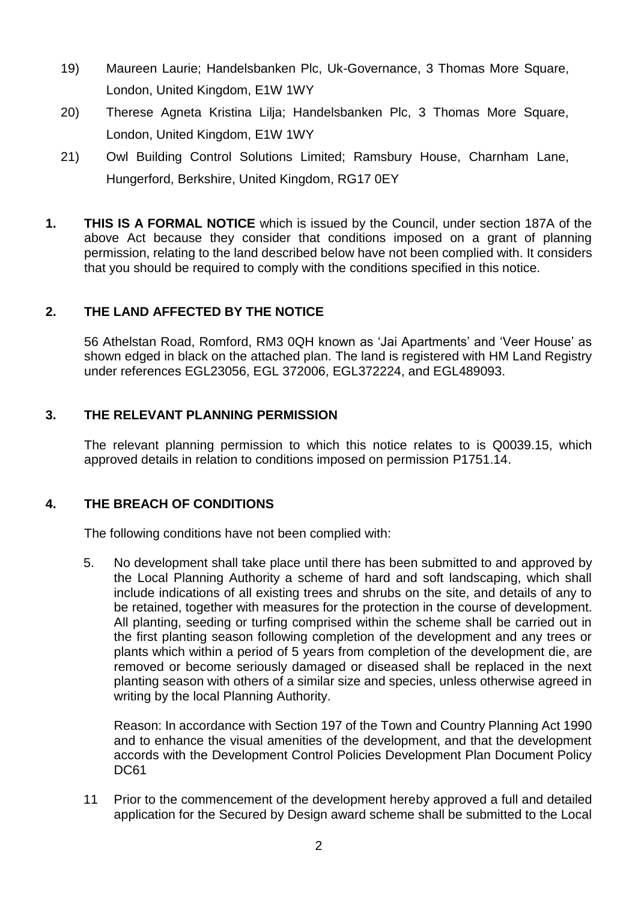- 19) Maureen Laurie; Handelsbanken Plc, Uk-Governance, 3 Thomas More Square, London, United Kingdom, E1W 1WY
- 20) Therese Agneta Kristina Lilja; Handelsbanken Plc, 3 Thomas More Square, London, United Kingdom, E1W 1WY
- 21) Owl Building Control Solutions Limited; Ramsbury House, Charnham Lane, Hungerford, Berkshire, United Kingdom, RG17 0EY
- **1. THIS IS A FORMAL NOTICE** which is issued by the Council, under section 187A of the above Act because they consider that conditions imposed on a grant of planning permission, relating to the land described below have not been complied with. It considers that you should be required to comply with the conditions specified in this notice.

# **2. THE LAND AFFECTED BY THE NOTICE**

 56 Athelstan Road, Romford, RM3 0QH known as 'Jai Apartments' and 'Veer House' as shown edged in black on the attached plan. The land is registered with HM Land Registry under references EGL23056, EGL 372006, EGL372224, and EGL489093.

# **3. THE RELEVANT PLANNING PERMISSION**

 The relevant planning permission to which this notice relates to is Q0039.15, which approved details in relation to conditions imposed on permission P1751.14.

# **4. THE BREACH OF CONDITIONS**

The following conditions have not been complied with:

 5. No development shall take place until there has been submitted to and approved by the Local Planning Authority a scheme of hard and soft landscaping, which shall include indications of all existing trees and shrubs on the site, and details of any to be retained, together with measures for the protection in the course of development. All planting, seeding or turfing comprised within the scheme shall be carried out in the first planting season following completion of the development and any trees or plants which within a period of 5 years from completion of the development die, are removed or become seriously damaged or diseased shall be replaced in the next planting season with others of a similar size and species, unless otherwise agreed in writing by the local Planning Authority.

 Reason: In accordance with Section 197 of the Town and Country Planning Act 1990 and to enhance the visual amenities of the development, and that the development accords with the Development Control Policies Development Plan Document Policy DC61

 11 Prior to the commencement of the development hereby approved a full and detailed application for the Secured by Design award scheme shall be submitted to the Local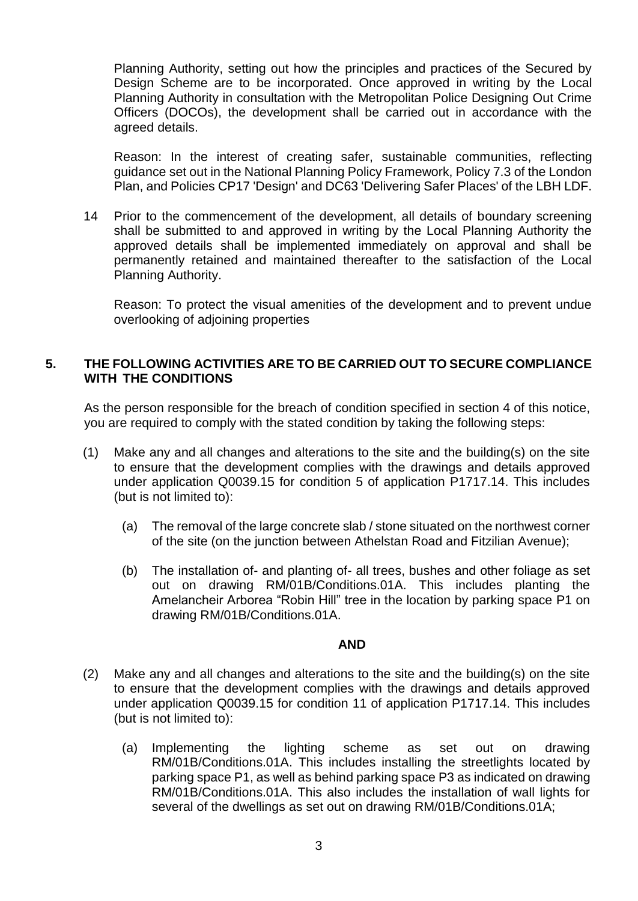Planning Authority, setting out how the principles and practices of the Secured by Design Scheme are to be incorporated. Once approved in writing by the Local Planning Authority in consultation with the Metropolitan Police Designing Out Crime Officers (DOCOs), the development shall be carried out in accordance with the agreed details.

 Reason: In the interest of creating safer, sustainable communities, reflecting guidance set out in the National Planning Policy Framework, Policy 7.3 of the London Plan, and Policies CP17 'Design' and DC63 'Delivering Safer Places' of the LBH LDF.

 14 Prior to the commencement of the development, all details of boundary screening shall be submitted to and approved in writing by the Local Planning Authority the approved details shall be implemented immediately on approval and shall be permanently retained and maintained thereafter to the satisfaction of the Local Planning Authority.

 Reason: To protect the visual amenities of the development and to prevent undue overlooking of adjoining properties

### **5. THE FOLLOWING ACTIVITIES ARE TO BE CARRIED OUT TO SECURE COMPLIANCE WITH THE CONDITIONS**

 As the person responsible for the breach of condition specified in section 4 of this notice, you are required to comply with the stated condition by taking the following steps:

- (1) Make any and all changes and alterations to the site and the building(s) on the site to ensure that the development complies with the drawings and details approved under application Q0039.15 for condition 5 of application P1717.14. This includes (but is not limited to):
	- (a) The removal of the large concrete slab / stone situated on the northwest corner of the site (on the junction between Athelstan Road and Fitzilian Avenue);
	- (b) The installation of- and planting of- all trees, bushes and other foliage as set out on drawing RM/01B/Conditions.01A. This includes planting the Amelancheir Arborea "Robin Hill" tree in the location by parking space P1 on drawing RM/01B/Conditions.01A.

#### **AND**

- (2) Make any and all changes and alterations to the site and the building(s) on the site to ensure that the development complies with the drawings and details approved under application Q0039.15 for condition 11 of application P1717.14. This includes (but is not limited to):
	- (a) Implementing the lighting scheme as set out on drawing RM/01B/Conditions.01A. This includes installing the streetlights located by parking space P1, as well as behind parking space P3 as indicated on drawing RM/01B/Conditions.01A. This also includes the installation of wall lights for several of the dwellings as set out on drawing RM/01B/Conditions.01A;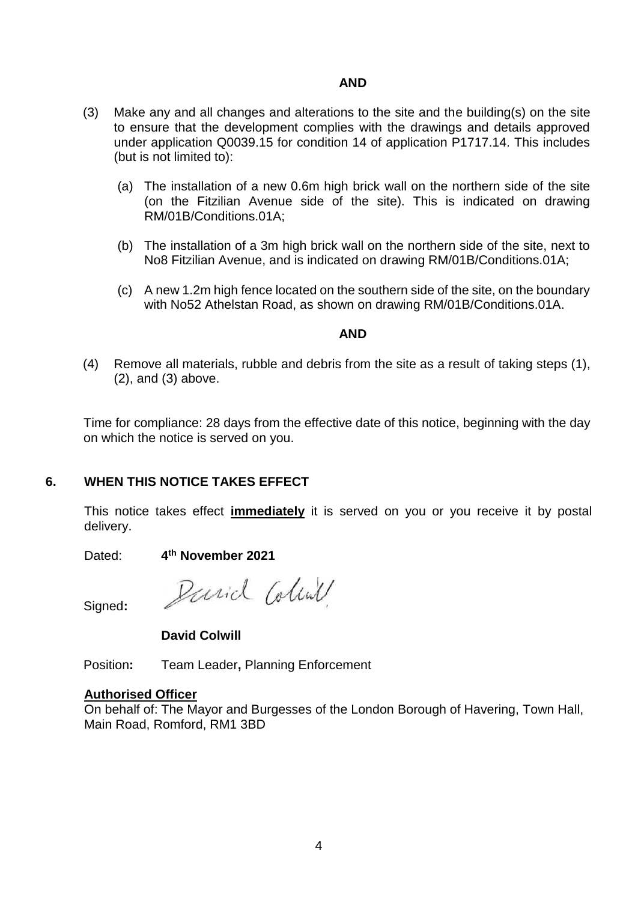### **AND**

- (3) Make any and all changes and alterations to the site and the building(s) on the site to ensure that the development complies with the drawings and details approved under application Q0039.15 for condition 14 of application P1717.14. This includes (but is not limited to):
	- (a) The installation of a new 0.6m high brick wall on the northern side of the site (on the Fitzilian Avenue side of the site). This is indicated on drawing RM/01B/Conditions.01A;
	- (b) The installation of a 3m high brick wall on the northern side of the site, next to No8 Fitzilian Avenue, and is indicated on drawing RM/01B/Conditions.01A;
	- (c) A new 1.2m high fence located on the southern side of the site, on the boundary with No52 Athelstan Road, as shown on drawing RM/01B/Conditions.01A.

#### **AND**

 (4) Remove all materials, rubble and debris from the site as a result of taking steps (1), (2), and (3) above.

 Time for compliance: 28 days from the effective date of this notice, beginning with the day on which the notice is served on you.

### **6. WHEN THIS NOTICE TAKES EFFECT**

 This notice takes effect **immediately** it is served on you or you receive it by postal delivery.

Dated: **4th November 2021** 

Signed**:** 

Parid Coline

**David Colwill** 

Position**:** Team Leader**,** Planning Enforcement

### **Authorised Officer**

 On behalf of: The Mayor and Burgesses of the London Borough of Havering, Town Hall, Main Road, Romford, RM1 3BD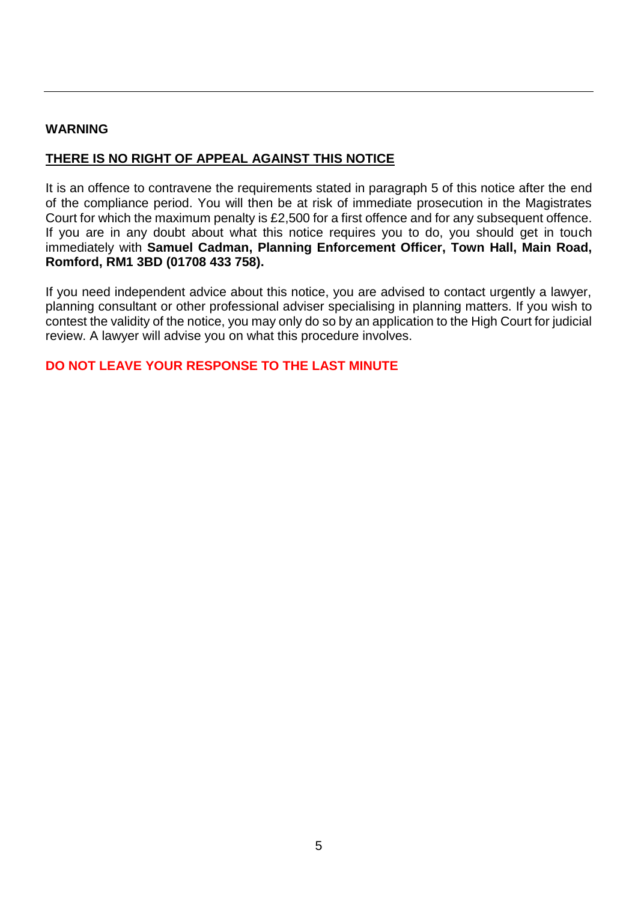#### **WARNING**

# **THERE IS NO RIGHT OF APPEAL AGAINST THIS NOTICE**

 It is an offence to contravene the requirements stated in paragraph 5 of this notice after the end of the compliance period. You will then be at risk of immediate prosecution in the Magistrates Court for which the maximum penalty is £2,500 for a first offence and for any subsequent offence. If you are in any doubt about what this notice requires you to do, you should get in touch immediately with **Samuel Cadman, Planning Enforcement Officer, Town Hall, Main Road, Romford, RM1 3BD (01708 433 758).** 

 If you need independent advice about this notice, you are advised to contact urgently a lawyer, planning consultant or other professional adviser specialising in planning matters. If you wish to contest the validity of the notice, you may only do so by an application to the High Court for judicial review. A lawyer will advise you on what this procedure involves.

**DO NOT LEAVE YOUR RESPONSE TO THE LAST MINUTE**